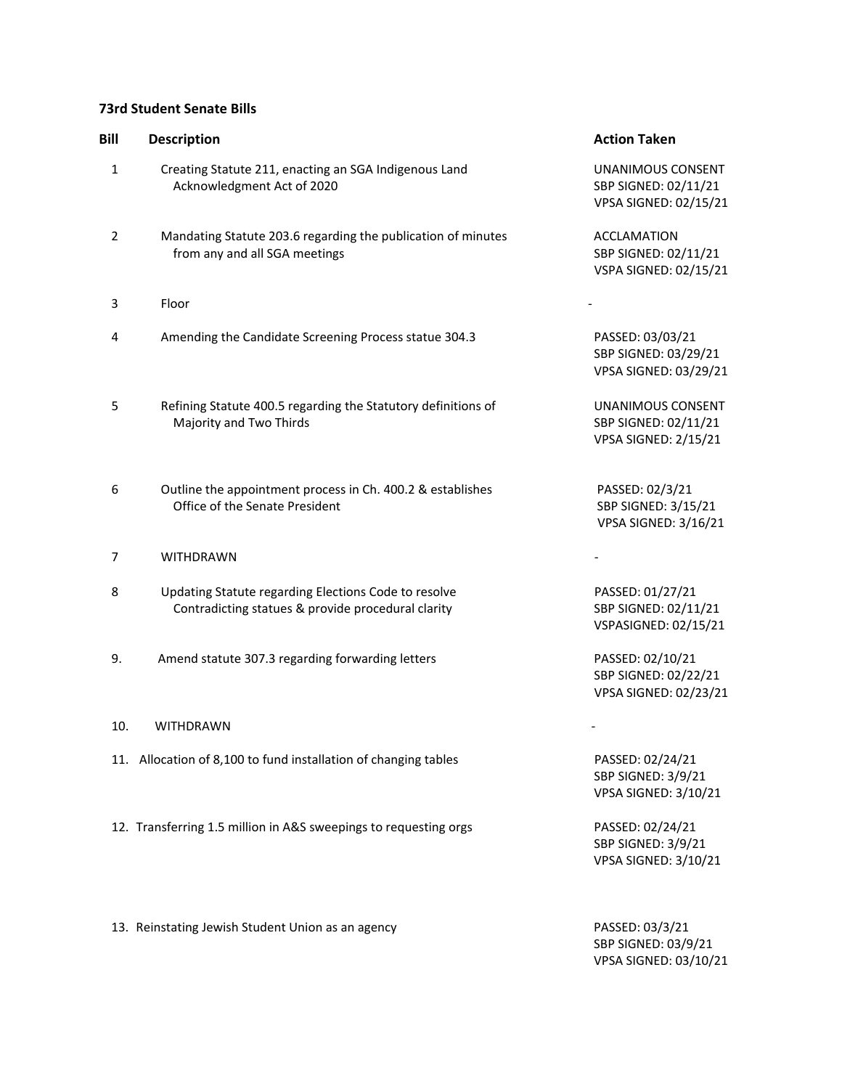## **73rd Student Senate Bills**

| Bill           | <b>Description</b>                                                                                         | <b>Action Taken</b>                                                      |
|----------------|------------------------------------------------------------------------------------------------------------|--------------------------------------------------------------------------|
| $\mathbf{1}$   | Creating Statute 211, enacting an SGA Indigenous Land<br>Acknowledgment Act of 2020                        | UNANIMOUS CONSENT<br>SBP SIGNED: 02/11/21<br>VPSA SIGNED: 02/15/21       |
| $\overline{2}$ | Mandating Statute 203.6 regarding the publication of minutes<br>from any and all SGA meetings              | <b>ACCLAMATION</b><br>SBP SIGNED: 02/11/21<br>VSPA SIGNED: 02/15/21      |
| 3              | Floor                                                                                                      |                                                                          |
| 4              | Amending the Candidate Screening Process statue 304.3                                                      | PASSED: 03/03/21<br>SBP SIGNED: 03/29/21<br>VPSA SIGNED: 03/29/21        |
| 5              | Refining Statute 400.5 regarding the Statutory definitions of<br>Majority and Two Thirds                   | UNANIMOUS CONSENT<br>SBP SIGNED: 02/11/21<br><b>VPSA SIGNED: 2/15/21</b> |
| 6              | Outline the appointment process in Ch. 400.2 & establishes<br>Office of the Senate President               | PASSED: 02/3/21<br>SBP SIGNED: 3/15/21<br><b>VPSA SIGNED: 3/16/21</b>    |
| 7              | <b>WITHDRAWN</b>                                                                                           |                                                                          |
| 8              | Updating Statute regarding Elections Code to resolve<br>Contradicting statues & provide procedural clarity | PASSED: 01/27/21<br>SBP SIGNED: 02/11/21<br>VSPASIGNED: 02/15/21         |
| 9.             | Amend statute 307.3 regarding forwarding letters                                                           | PASSED: 02/10/21<br>SBP SIGNED: 02/22/21<br>VPSA SIGNED: 02/23/21        |
| 10.            | <b>WITHDRAWN</b>                                                                                           |                                                                          |
|                | 11. Allocation of 8,100 to fund installation of changing tables                                            | PASSED: 02/24/21<br>SBP SIGNED: 3/9/21<br><b>VPSA SIGNED: 3/10/21</b>    |
|                | 12. Transferring 1.5 million in A&S sweepings to requesting orgs                                           | PASSED: 02/24/21<br>SBP SIGNED: 3/9/21<br>VPSA SIGNED: 3/10/21           |

13. Reinstating Jewish Student Union as an agency PASSED: 03/3/21 SBP SIGNED: 03/9/21 VPSA SIGNED: 03/10/21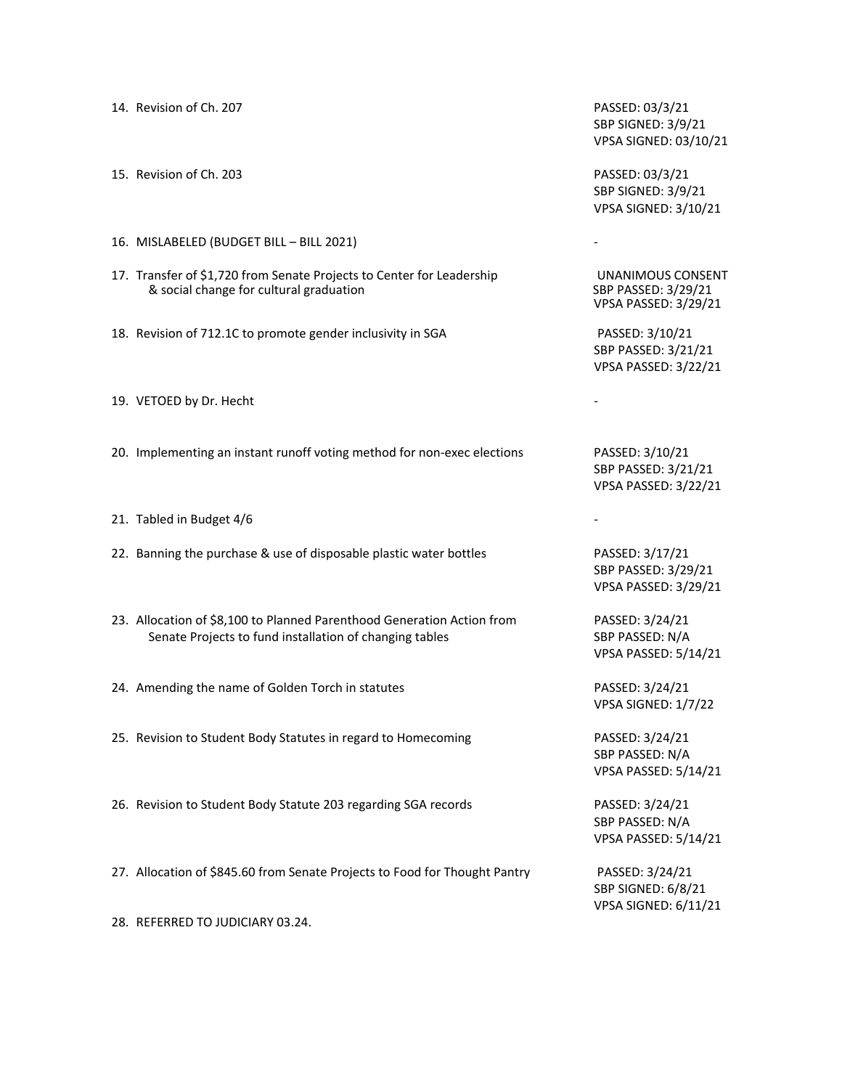| 14. Revision of Ch. 207                                                                                                           | PASSED: 03/3/21<br>SBP SIGNED: 3/9/21<br>VPSA SIGNED: 03/10/21        |
|-----------------------------------------------------------------------------------------------------------------------------------|-----------------------------------------------------------------------|
| 15. Revision of Ch. 203                                                                                                           | PASSED: 03/3/21<br>SBP SIGNED: 3/9/21<br>VPSA SIGNED: 3/10/21         |
| 16. MISLABELED (BUDGET BILL - BILL 2021)                                                                                          |                                                                       |
| 17. Transfer of \$1,720 from Senate Projects to Center for Leadership<br>& social change for cultural graduation                  | UNANIMOUS CONSENT<br>SBP PASSED: 3/29/21<br>VPSA PASSED: 3/29/21      |
| 18. Revision of 712.1C to promote gender inclusivity in SGA                                                                       | PASSED: 3/10/21<br>SBP PASSED: 3/21/21<br>VPSA PASSED: 3/22/21        |
| 19. VETOED by Dr. Hecht                                                                                                           |                                                                       |
| 20. Implementing an instant runoff voting method for non-exec elections                                                           | PASSED: 3/10/21<br>SBP PASSED: 3/21/21<br><b>VPSA PASSED: 3/22/21</b> |
| 21. Tabled in Budget 4/6                                                                                                          |                                                                       |
| 22. Banning the purchase & use of disposable plastic water bottles                                                                | PASSED: 3/17/21<br>SBP PASSED: 3/29/21<br><b>VPSA PASSED: 3/29/21</b> |
| 23. Allocation of \$8,100 to Planned Parenthood Generation Action from<br>Senate Projects to fund installation of changing tables | PASSED: 3/24/21<br>SBP PASSED: N/A<br><b>VPSA PASSED: 5/14/21</b>     |
| 24. Amending the name of Golden Torch in statutes                                                                                 | PASSED: 3/24/21<br>VPSA SIGNED: 1/7/22                                |
| 25. Revision to Student Body Statutes in regard to Homecoming                                                                     | PASSED: 3/24/21<br>SBP PASSED: N/A<br><b>VPSA PASSED: 5/14/21</b>     |
| 26. Revision to Student Body Statute 203 regarding SGA records                                                                    | PASSED: 3/24/21<br>SBP PASSED: N/A<br><b>VPSA PASSED: 5/14/21</b>     |
| 27. Allocation of \$845.60 from Senate Projects to Food for Thought Pantry                                                        | PASSED: 3/24/21<br>SBP SIGNED: 6/8/21<br><b>VPSA SIGNED: 6/11/21</b>  |
| 28. REFERRED TO JUDICIARY 03.24.                                                                                                  |                                                                       |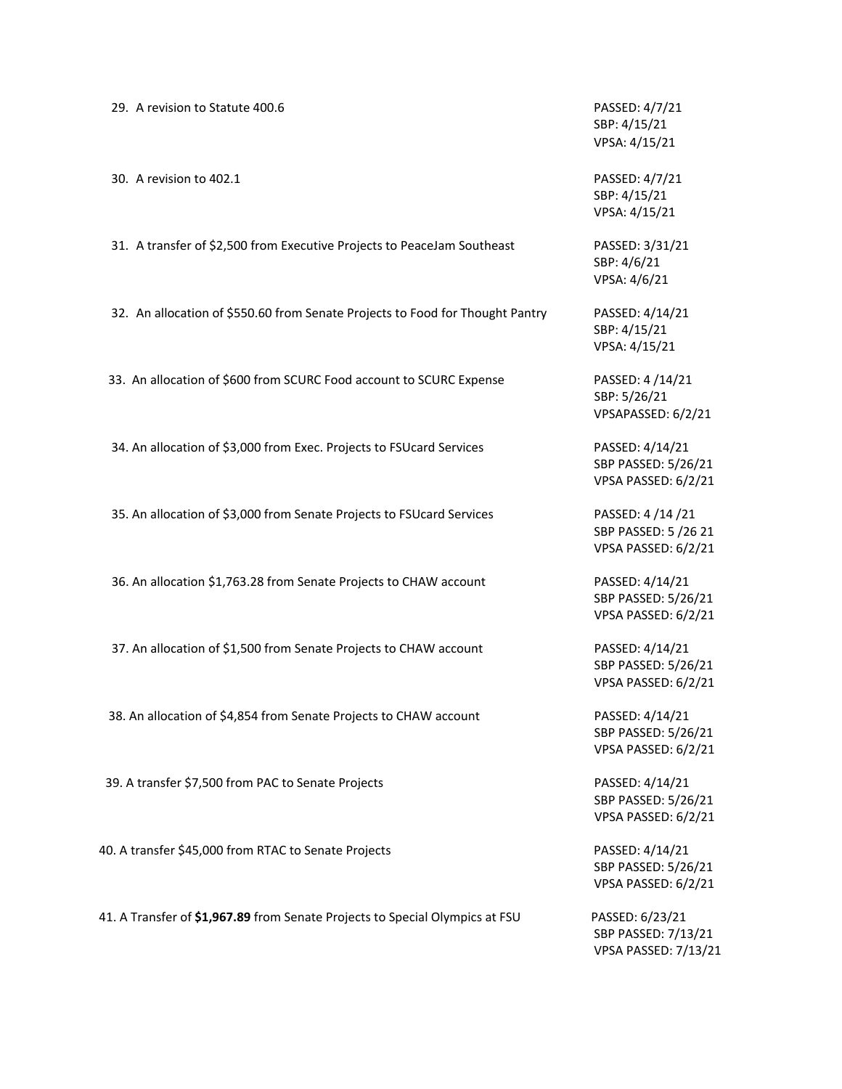29. A revision to Statute 400.6 **PASSED: 4/7/21** SBP: 4/15/21 VPSA: 4/15/21 30. A revision to 402.1 PASSED: 4/7/21 SBP: 4/15/21 VPSA: 4/15/21 31. A transfer of \$2,500 from Executive Projects to PeaceJam Southeast PASSED: 3/31/21 SBP: 4/6/21 VPSA: 4/6/21 32. An allocation of \$550.60 from Senate Projects to Food for Thought Pantry PASSED: 4/14/21 SBP: 4/15/21 VPSA: 4/15/21 33. An allocation of \$600 from SCURC Food account to SCURC Expense PASSED: 4 /14/21 SBP: 5/26/21 34. An allocation of \$3,000 from Exec. Projects to FSUcard Services PASSED: 4/14/21 35. An allocation of \$3,000 from Senate Projects to FSUcard Services PASSED: 4 /14 /21 36. An allocation \$1,763.28 from Senate Projects to CHAW account PASSED: 4/14/21 37. An allocation of \$1,500 from Senate Projects to CHAW account PASSED: 4/14/21 38. An allocation of \$4,854 from Senate Projects to CHAW account PASSED: 4/14/21 39. A transfer \$7,500 from PAC to Senate Projects **PASSED: 4/14/21** 40. A transfer \$45,000 from RTAC to Senate Projects **PASSED: 4/14/21** PASSED: 4/14/21 41. A Transfer of **\$1,967.89** from Senate Projects to Special Olympics at FSU PASSED: 6/23/21

VPSAPASSED: 6/2/21

SBP PASSED: 5/26/21 VPSA PASSED: 6/2/21

SBP PASSED: 5 /26 21 VPSA PASSED: 6/2/21

SBP PASSED: 5/26/21 VPSA PASSED: 6/2/21

SBP PASSED: 5/26/21 VPSA PASSED: 6/2/21

SBP PASSED: 5/26/21 VPSA PASSED: 6/2/21

SBP PASSED: 5/26/21 VPSA PASSED: 6/2/21

SBP PASSED: 5/26/21 VPSA PASSED: 6/2/21

SBP PASSED: 7/13/21 VPSA PASSED: 7/13/21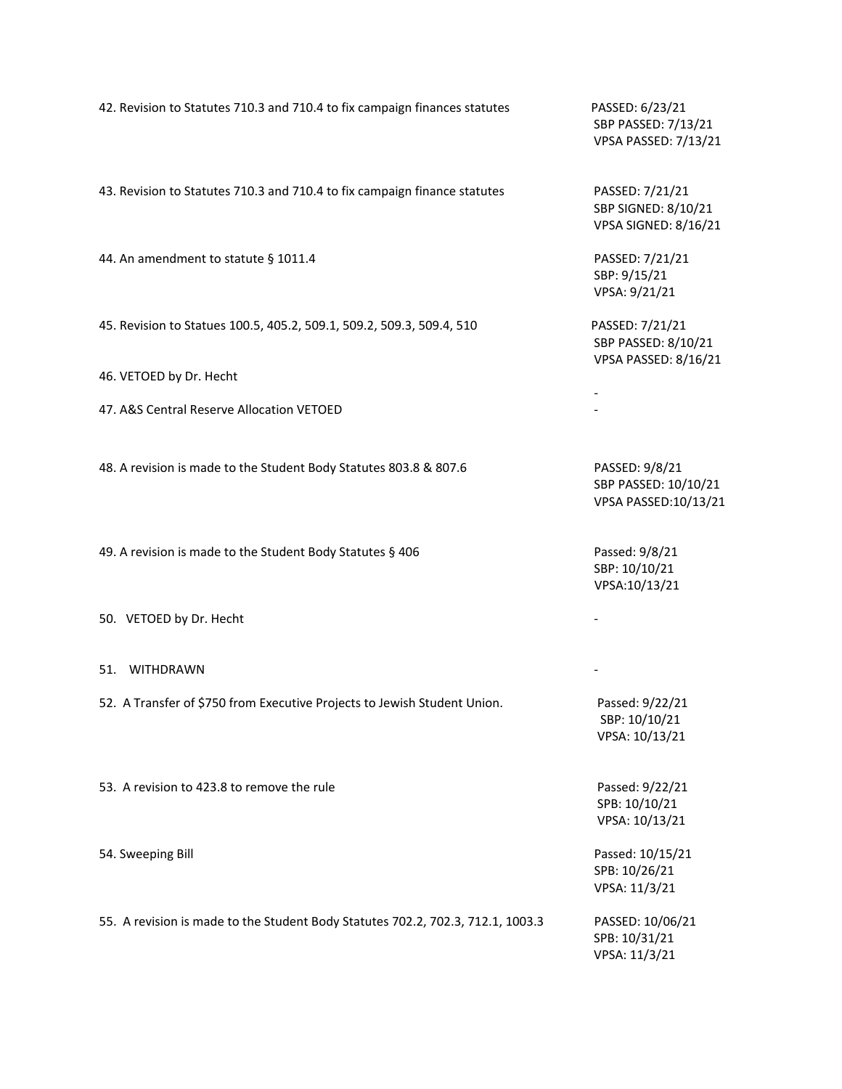|                                                                                 | VPSA PASSED: 7/13/2                                           |
|---------------------------------------------------------------------------------|---------------------------------------------------------------|
| 43. Revision to Statutes 710.3 and 710.4 to fix campaign finance statutes       | PASSED: 7/21/21<br>SBP SIGNED: 8/10/21<br>VPSA SIGNED: 8/16/2 |
| 44. An amendment to statute § 1011.4                                            | PASSED: 7/21/21<br>SBP: 9/15/21<br>VPSA: 9/21/21              |
| 45. Revision to Statues 100.5, 405.2, 509.1, 509.2, 509.3, 509.4, 510           | PASSED: 7/21/21<br>SBP PASSED: 8/10/21<br>VPSA PASSED: 8/16/2 |
| 46. VETOED by Dr. Hecht                                                         |                                                               |
| 47. A&S Central Reserve Allocation VETOED                                       |                                                               |
| 48. A revision is made to the Student Body Statutes 803.8 & 807.6               | PASSED: 9/8/21<br>SBP PASSED: 10/10/2<br>VPSA PASSED:10/13/   |
| 49. A revision is made to the Student Body Statutes § 406                       | Passed: 9/8/21<br>SBP: 10/10/21<br>VPSA:10/13/21              |
| 50. VETOED by Dr. Hecht                                                         |                                                               |
| 51. WITHDRAWN                                                                   |                                                               |
| 52. A Transfer of \$750 from Executive Projects to Jewish Student Union.        | Passed: 9/22/21<br>SBP: 10/10/21<br>VPSA: 10/13/21            |
| 53. A revision to 423.8 to remove the rule                                      | Passed: 9/22/21<br>SPB: 10/10/21<br>VPSA: 10/13/21            |
| 54. Sweeping Bill                                                               | Passed: 10/15/21<br>SPB: 10/26/21<br>VPSA: 11/3/21            |
| 55. A revision is made to the Student Body Statutes 702.2, 702.3, 712.1, 1003.3 | PASSED: 10/06/21<br>SPB: 10/31/21<br>VPSA: 11/3/21            |
|                                                                                 |                                                               |

42. Revision to Statutes 710.3 and 710.4 to fix campaign finances statutes PASSED: 6/23/21 SBP PASSED: 7/13/21  $3/21$ 

 $6/21$ 

 $/21$  $6/21$ 

 $3/21$ l3/21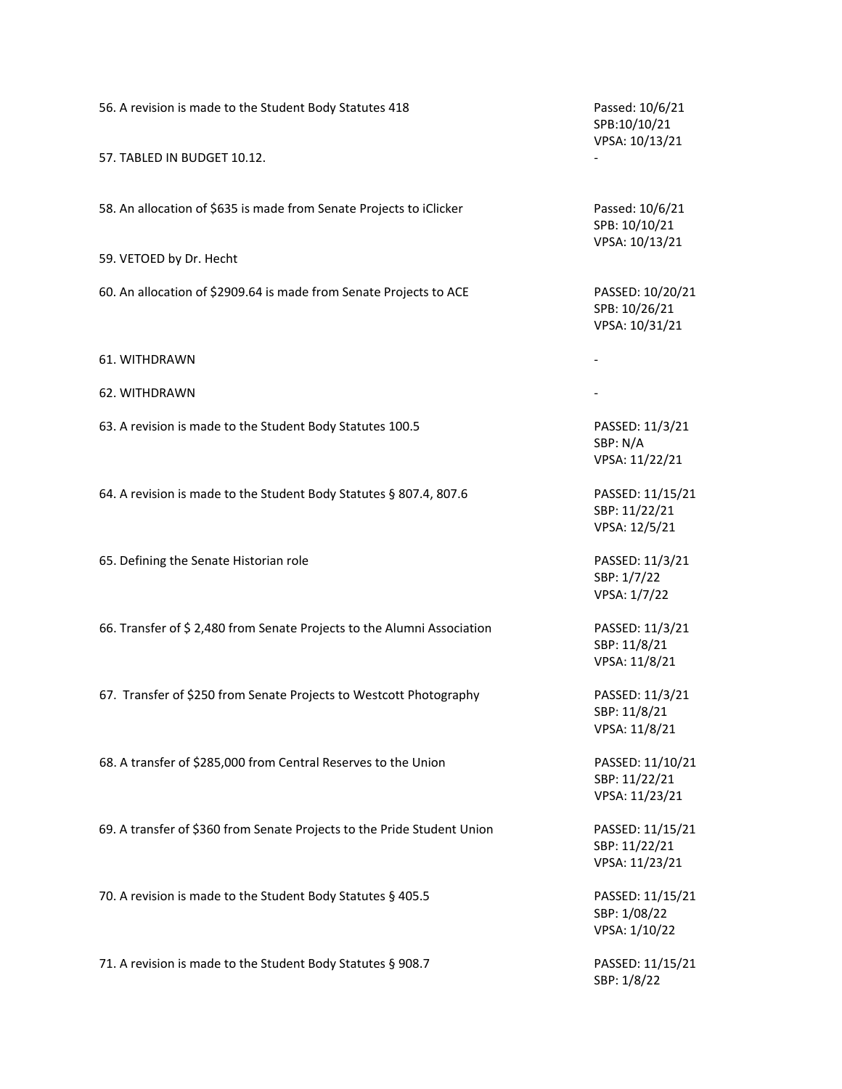| 56. A revision is made to the Student Body Statutes 418                 | Passed: 10/6/21<br>SPB:10/10/21<br>VPSA: 10/13/21   |
|-------------------------------------------------------------------------|-----------------------------------------------------|
| 57. TABLED IN BUDGET 10.12.                                             |                                                     |
| 58. An allocation of \$635 is made from Senate Projects to iClicker     | Passed: 10/6/21<br>SPB: 10/10/21<br>VPSA: 10/13/21  |
| 59. VETOED by Dr. Hecht                                                 |                                                     |
| 60. An allocation of \$2909.64 is made from Senate Projects to ACE      | PASSED: 10/20/21<br>SPB: 10/26/21<br>VPSA: 10/31/21 |
| 61. WITHDRAWN                                                           |                                                     |
| 62. WITHDRAWN                                                           |                                                     |
| 63. A revision is made to the Student Body Statutes 100.5               | PASSED: 11/3/21<br>SBP: N/A<br>VPSA: 11/22/21       |
| 64. A revision is made to the Student Body Statutes § 807.4, 807.6      | PASSED: 11/15/21<br>SBP: 11/22/21<br>VPSA: 12/5/21  |
| 65. Defining the Senate Historian role                                  | PASSED: 11/3/21<br>SBP: 1/7/22<br>VPSA: 1/7/22      |
| 66. Transfer of \$2,480 from Senate Projects to the Alumni Association  | PASSED: 11/3/21<br>SBP: 11/8/21<br>VPSA: 11/8/21    |
| 67. Transfer of \$250 from Senate Projects to Westcott Photography      | PASSED: 11/3/21<br>SBP: 11/8/21<br>VPSA: 11/8/21    |
| 68. A transfer of \$285,000 from Central Reserves to the Union          | PASSED: 11/10/21<br>SBP: 11/22/21<br>VPSA: 11/23/21 |
| 69. A transfer of \$360 from Senate Projects to the Pride Student Union | PASSED: 11/15/21<br>SBP: 11/22/21<br>VPSA: 11/23/21 |
| 70. A revision is made to the Student Body Statutes § 405.5             | PASSED: 11/15/21<br>SBP: 1/08/22<br>VPSA: 1/10/22   |
| 71. A revision is made to the Student Body Statutes § 908.7             | PASSED: 11/15/21<br>SBP: 1/8/22                     |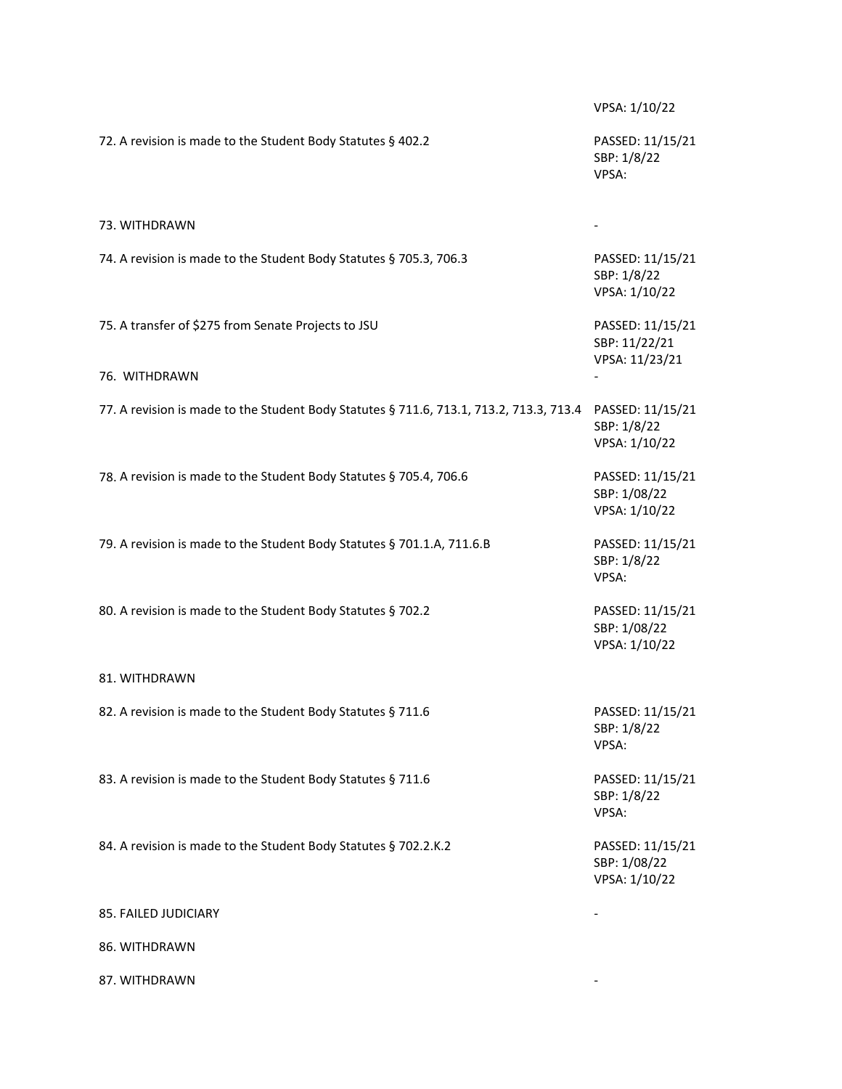VPSA: 1/10/22 72. A revision is made to the Student Body Statutes § 402.2 PASSED: 11/15/21 SBP: 1/8/22 VPSA: 73. WITHDRAWN 74. A revision is made to the Student Body Statutes § 705.3, 706.3 PASSED: 11/15/21 SBP: 1/8/22 VPSA: 1/10/22 75. A transfer of \$275 from Senate Projects to JSU PASSED: 11/15/21 SBP: 11/22/21 VPSA: 11/23/21 76. WITHDRAWN 77. A revision is made to the Student Body Statutes § 711.6, 713.1, 713.2, 713.3, 713.4 PASSED: 11/15/21 SBP: 1/8/22 VPSA: 1/10/22 78. A revision is made to the Student Body Statutes § 705.4, 706.6 PASSED: 11/15/21 SBP: 1/08/22 VPSA: 1/10/22 79. A revision is made to the Student Body Statutes § 701.1.A, 711.6.B PASSED: 11/15/21 SBP: 1/8/22 VPSA: 80. A revision is made to the Student Body Statutes § 702.2 PASSED: 11/15/21 SBP: 1/08/22 VPSA: 1/10/22 81. WITHDRAWN 82. A revision is made to the Student Body Statutes § 711.6 PASSED: 11/15/21 SBP: 1/8/22 VPSA: 83. A revision is made to the Student Body Statutes § 711.6 PASSED: 11/15/21 SBP: 1/8/22 VPSA: 84. A revision is made to the Student Body Statutes § 702.2.K.2 PASSED: 11/15/21 SBP: 1/08/22 VPSA: 1/10/22 85. FAILED JUDICIARY 86. WITHDRAWN 87. WITHDRAWN